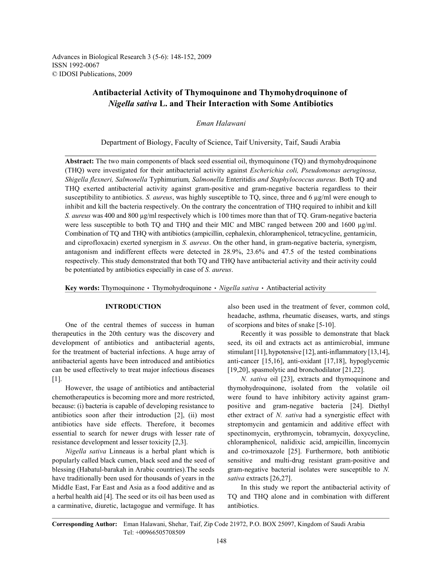Advances in Biological Research 3 (5-6): 148-152, 2009 ISSN 1992-0067 © IDOSI Publications, 2009

# **Antibacterial Activity of Thymoquinone and Thymohydroquinone of**  *Nigella sativa* **L. and Their Interaction with Some Antibiotics**

## *Eman Halawani*

Department of Biology, Faculty of Science, Taif University, Taif, Saudi Arabia

**Abstract:** The two main components of black seed essential oil, thymoquinone (TQ) and thymohydroquinone (THQ) were investigated for their antibacterial activity against *Escherichia coli, Pseudomonas aeruginosa, Shigella flexneri, Salmonella* Typhimurium*, Salmonella* Enteritidis *and Staphylococcus aureus.* Both TQ and THQ exerted antibacterial activity against gram-positive and gram-negative bacteria regardless to their susceptibility to antibiotics. *S. aureus*, was highly susceptible to  $TQ$ , since, three and  $6 \mu g/ml$  were enough to inhibit and kill the bacteria respectively. On the contrary the concentration of THQ required to inhibit and kill *S. aureus* was 400 and 800 µg/ml respectively which is 100 times more than that of TQ. Gram-negative bacteria were less susceptible to both TQ and THQ and their MIC and MBC ranged between 200 and 1600 µg/ml. Combination of TQ and THQ with antibiotics (ampicillin, cephalexin, chloramphenicol, tetracycline, gentamicin, and ciprofloxacin) exerted synergism in *S. aureus*. On the other hand, in gram-negative bacteria, synergism, antagonism and indifferent effects were detected in 28.9%, 23.6% and 47.5 of the tested combinations respectively. This study demonstrated that both TQ and THQ have antibacterial activity and their activity could be potentiated by antibiotics especially in case of *S. aureus*.

**Key words:** Thymoquinone • Thymohydroquinone • Nigella sativa • Antibacterial activity

One of the central themes of success in human of scorpions and bites of snake [5-10]. therapeutics in the 20th century was the discovery and Recently it was possible to demonstrate that black development of antibiotics and antibacterial agents, seed, its oil and extracts act as antimicrobial, immune for the treatment of bacterial infections. A huge array of stimulant [11], hypotensive [12], anti-inflammatory [13,14], antibacterial agents have been introduced and antibiotics anti-cancer [15,16], anti-oxidant [17,18], hypoglycemic can be used effectively to treat major infectious diseases [19,20], spasmolytic and bronchodilator [21,22]. [1]. *N. sativa* oil [23], extracts and thymoquinone and

chemotherapeutics is becoming more and more restricted, were found to have inhibitory activity against grambecause: (i) bacteria is capable of developing resistance to positive and gram-negative bacteria [24]. Diethyl antibiotics soon after their introduction [2], (ii) most ether extract of *N. sativa* had a synergistic effect with antibiotics have side effects. Therefore, it becomes streptomycin and gentamicin and additive effect with essential to search for newer drugs with lesser rate of spectinomycin, erythromycin, tobramycin, doxycycline, resistance development and lesser toxicity [2,3]. chloramphenicol, nalidixic acid, ampicillin, lincomycin

popularly called black cumen, black seed and the seed of sensitive and multi-drug resistant gram-positive and blessing (Habatul-barakah in Arabic countries).The seeds gram-negative bacterial isolates were susceptible to *N.* have traditionally been used for thousands of years in the *sativa* extracts [26,27]. Middle East, Far East and Asia as a food additive and as In this study we report the antibacterial activity of a herbal health aid [4]. The seed or its oil has been used as TQ and THQ alone and in combination with different a carminative, diuretic, lactagogue and vermifuge. It has antibiotics.

**INTRODUCTION** also been used in the treatment of fever, common cold, headache, asthma, rheumatic diseases, warts, and stings

However, the usage of antibiotics and antibacterial thymohydroquinone, isolated from the volatile oil *Nigella sativa* Linneaus is a herbal plant which is and co-trimoxazole [25]. Furthermore, both antibiotic

**Corresponding Author:** Eman Halawani, Shehar, Taif, Zip Code 21972, P.O. BOX 25097, Kingdom of Saudi Arabia Tel: +00966505708509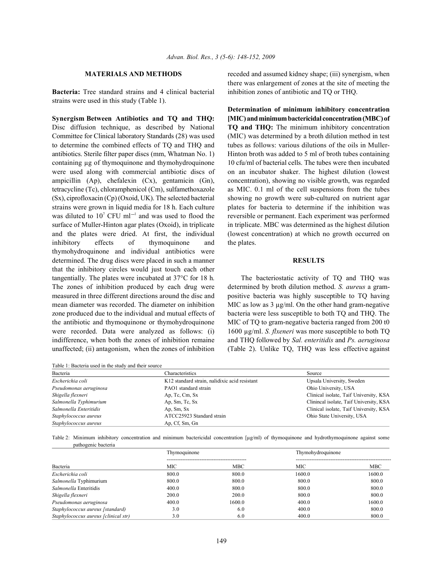**Bacteria:** Tree standard strains and 4 clinical bacterial inhibition zones of antibiotic and TQ or THQ. strains were used in this study (Table 1).

Disc diffusion technique, as described by National **TQ and THQ:** The minimum inhibitory concentration Committee for Clinical laboratory Standards (28) was used (MIC) was determined by a broth dilution method in test to determine the combined effects of TQ and THQ and tubes as follows: various dilutions of the oils in Mullerantibiotics. Sterile filter paper discs (mm, Whatman No. 1) Hinton broth was added to 5 ml of broth tubes containing containing µg of thymoquinone and thymohydroquinone 10 cfu/ml of bacterial cells. The tubes were then incubated were used along with commercial antibiotic discs of on an incubator shaker. The highest dilution (lowest ampicillin (Ap), chefalexin (Cx), gentamicin (Gn), concentration), showing no visible growth, was regarded tetracycline (Tc), chloramphenicol (Cm), sulfamethoxazole as MIC. 0.1 ml of the cell suspensions from the tubes (Sx), ciprofloxacin (Cp) (Oxoid, UK). The selected bacterial showing no growth were sub-cultured on nutrient agar strains were grown in liquid media for 18 h. Each culture plates for bacteria to determine if the inhibition was was diluted to 10<sup>7</sup> CFU ml<sup>-1</sup> and was used to flood the reversible or permanent. Each experiment was performed surface of Muller-Hinton agar plates (Oxoid), in triplicate in triplicate. MBC was determined as the highest dilution and the plates were dried. At first, the individual (lowest concentration) at which no growth occurred on inhibitory effects of thymoquinone and the plates. thymohydroquinone and individual antibiotics were determined. The drug discs were placed in such a manner **RESULTS** that the inhibitory circles would just touch each other tangentially. The plates were incubated at 37°C for 18 h. The bacteriostatic activity of TQ and THQ was The zones of inhibition produced by each drug were determined by broth dilution method. *S. aureus* a grammeasured in three different directions around the disc and positive bacteria was highly susceptible to TQ having mean diameter was recorded. The diameter on inhibition MIC as low as  $3 \mu g/ml$ . On the other hand gram-negative zone produced due to the individual and mutual effects of bacteria were less susceptible to both TQ and THQ. The the antibiotic and thymoquinone or thymohydroquinone MIC of TQ to gram-negative bacteria ranged from 200 t0 were recorded. Data were analyzed as follows: (i) 1600 µg/ml. *S. flxeneri* was more susceptible to both TQ indifference, when both the zones of inhibition remaine and THQ followed by *Sal. enteritidis* and *Ps. aeruginosa* unaffected; (ii) antagonism, when the zones of inhibition (Table 2). Unlike TQ, THQ was less effective against

Table 1: Bacteria used in the study and their source

**MATERIALS AND METHODS** receded and assumed kidney shape; (iii) synergism, when there was enlargement of zones at the site of meeting the

**Synergism Between Antibiotics and TQ and THQ: [MIC) and minimum bactericidal concentration (MBC) of Determination of minimum inhibitory concentration**

| Bacteria               | Characteristics                               | Source                                  |  |
|------------------------|-----------------------------------------------|-----------------------------------------|--|
| Escherichia coli       | K12 standard strain, nalidixic acid resistant | Upsala University, Sweden               |  |
| Pseudomonas aeruginosa | PAO1 standard strain                          | Ohio University, USA                    |  |
| Shigella flexneri      | Ap, Tc, Cm, Sx                                | Clinical isolate, Taif University, KSA  |  |
| Salmonella Typhimurium | Ap, Sm, Tc, Sx                                | Clinincal isolate, Taif University, KSA |  |
| Salmonella Enteritidis | Ap, Sm, Sx                                    | Clinical isolate, Taif University, KSA  |  |
| Staphylococcus aureus  | ATCC25923 Standard strain                     | Ohio State University, USA              |  |
| Staphylococcus aureus  | Ap, Cf, Sm, Gn                                |                                         |  |

Table 2: Minimum inhibitory concentration and minimum bactericidal concentration [µg/ml) of thymoquinone and hydrothymoquinone against some pathogenic bacteria

|                                      | Thymoquinone |        | Thymohydroquinone |        |  |
|--------------------------------------|--------------|--------|-------------------|--------|--|
|                                      |              |        |                   |        |  |
| Bacteria                             | MIC          | MBC    | MIC               | MBC    |  |
| Escherichia coli                     | 800.0        | 800.0  | 1600.0            | 1600.0 |  |
| Salmonella Typhimurium               | 800.0        | 800.0  | 800.0             | 800.0  |  |
| <i>Salmonella</i> Enteritidis        | 400.0        | 800.0  | 800.0             | 800.0  |  |
| Shigella flexneri                    | 200.0        | 200.0  | 800.0             | 800.0  |  |
| Pseudomonas aeruginosa               | 400.0        | 1600.0 | 400.0             | 1600.0 |  |
| Staphylococcus aureus [standard]     | 3.0          | 6.0    | 400.0             | 800.0  |  |
| Staphylococcus aureus [clinical str) | 3.0          | 6.0    | 400.0             | 800.0  |  |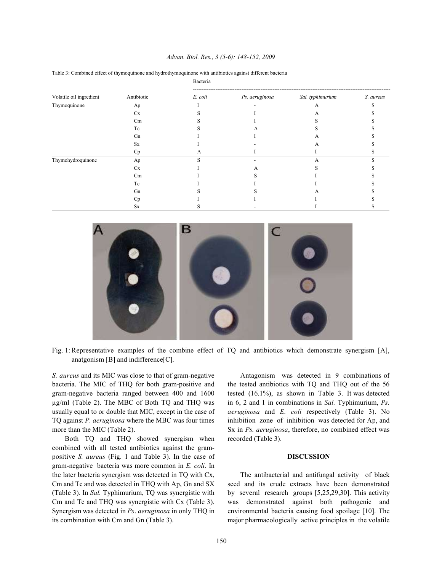| Advan. Biol. Res., 3 (5-6): 148-152, 2009 |  |  |  |  |  |  |
|-------------------------------------------|--|--|--|--|--|--|
|-------------------------------------------|--|--|--|--|--|--|

|                         |            | Bacteria |                |                  |           |  |  |
|-------------------------|------------|----------|----------------|------------------|-----------|--|--|
| Volatile oil ingredient | Antibiotic | E. coli  | Ps. aeruginosa | Sal. typhimurium | S. aureus |  |  |
| Thymoquinone            | Ap         |          |                | A                |           |  |  |
|                         | Cx         |          |                | A                |           |  |  |
|                         | Cm         |          |                |                  |           |  |  |
|                         | Tc         |          |                |                  |           |  |  |
|                         | Gn         |          |                | A                |           |  |  |
|                         | <b>Sx</b>  |          |                | А                |           |  |  |
|                         | Cp         | А        |                |                  |           |  |  |
| Thymohydroquinone       | Ap         |          |                | А                |           |  |  |
|                         | Cx         |          | A              |                  |           |  |  |
|                         | Cm         |          |                |                  |           |  |  |
|                         | Tc         |          |                |                  |           |  |  |
|                         | Gn         |          |                | А                |           |  |  |
|                         | Cp         |          |                |                  |           |  |  |
|                         | <b>Sx</b>  |          |                |                  |           |  |  |

Table 3: Combined effect of thymoquinone and hydrothymoquinone with antibiotics against different bacteria



Fig. 1: Representative examples of the combine effect of TQ and antibiotics which demonstrate synergism [A], anatgonism [B] and indifference[C].

bacteria. The MIC of THQ for both gram-positive and the tested antibiotics with TQ and THQ out of the 56 gram-negative bacteria ranged between 400 and 1600 tested (16.1%), as shown in Table 3. It was detected µg/ml (Table 2). The MBC of Both TQ and THQ was in 6, 2 and 1 in combinations in *Sal.* Typhimurium, *Ps.* usually equal to or double that MIC, except in the case of *aeruginosa* and *E. coli* respectively (Table 3). No TQ against *P. aeruginosa* where the MBC was four times inhibition zone of inhibition was detected for Ap, and more than the MIC (Table 2). Sx in *Ps. aeruginosa*, therefore, no combined effect was

Both TQ and THQ showed synergism when recorded (Table 3). combined with all tested antibiotics against the grampositive *S. aureus* (Fig. 1 and Table 3). In the case of **DISCUSSION** gram-negative bacteria was more common in *E. coli*. In the later bacteria synergism was detected in TQ with Cx, The antibacterial and antifungal activity of black Cm and Tc and was detected in THQ with Ap, Gn and SX seed and its crude extracts have been demonstrated (Table 3). In *Sal.* Typhimurium, TQ was synergistic with by several research groups [5,25,29,30]. This activity Cm and Tc and THQ was synergistic with Cx (Table 3). was demonstrated against both pathogenic and Synergism was detected in *Ps*. *aeruginosa* in only THQ in environmental bacteria causing food spoilage [10]. The its combination with Cm and Gn (Table 3). major pharmacologically active principles in the volatile

*S. aureus* and its MIC was close to that of gram-negative Antagonism was detected in 9 combinations of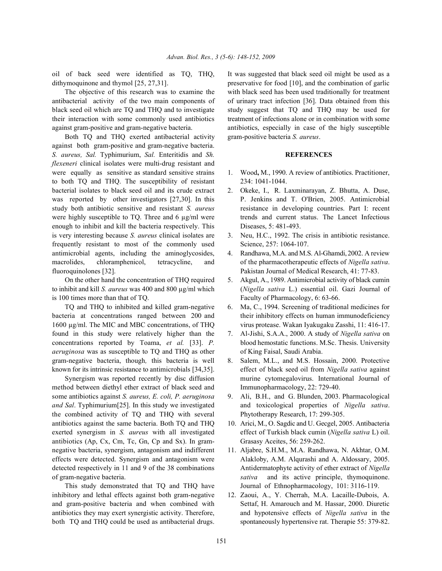dithymoquinone and thymol [25, 27,31]. preservative for food [10], and the combination of garlic

antibacterial activity of the two main components of of urinary tract infection [36]. Data obtained from this black seed oil which are TQ and THQ and to investigate study suggest that TQ and THQ may be used for their interaction with some commonly used antibiotics treatment of infections alone or in combination with some against gram-positive and gram-negative bacteria. antibiotics, especially in case of the higly susceptible

Both TQ and THQ exerted antibacterial activity gram-positive bacteria *S. aureus*. against both gram-positive and gram-negative bacteria. *S. aureus, Sal.* Typhimurium, *Sal.* Enteritidis and *Sh.* **REFERENCES** *flexeneri* clinical isolates were multi-drug resistant and were equally as sensitive as standard sensitive strains 1. Wood**,** M., 1990. A review of antibiotics. Practitioner, to both TQ and THQ. The susceptibility of resistant 234: 1041-1044. bacterial isolates to black seed oil and its crude extract 2. Okeke, I., R. Laxminarayan, Z. Bhutta, A. Duse, was reported by other investigators [27,30]. In this P. Jenkins and T. O'Brien, 2005. Antimicrobial study both antibiotic sensitive and resistant *S. aureus* resistance in developing countries. Part I: recent were highly susceptible to TQ. Three and 6  $\mu$ g/ml were trends and current status. The Lancet Infectious enough to inhibit and kill the bacteria respectively. This Diseases, 5: 481-493. is very interesting because *S. aureus* clinical isolates are 3. Neu, H.C., 1992. The crisis in antibiotic resistance. frequently resistant to most of the commonly used Science, 257: 1064-107. antimicrobial agents, including the aminoglycosides, 4. Randhawa, M.A. and M.S. Al-Ghamdi, 2002. A review macrolides, chloramphenicol, tetracycline, and of the pharmacotherapeutic effects of *Nigella sativa*. fluoroquinolones [32]. Pakistan Journal of Medical Research, 41: 77-83.

to inhibit and kill *S. aureus* was 400 and 800 µg/ml which (*Nigella sativa* L.) essential oil. Gazi Journal of is 100 times more than that of TQ. Faculty of Pharmacology, 6: 63-66.

bacteria at concentrations ranged between 200 and their inhibitory effects on human immunodeficiency 1600 µg/ml. The MIC and MBC concentrations, of THQ virus protease. Wakan Iyakugaku Zasshi, 11: 416-17. found in this study were relatively higher than the 7. Al-Jishi, S.A.A., 2000. A study of *Nigella sativa* on concentrations reported by Toama, *et al.* [33]. *P.* blood hemostatic functions. M.Sc. Thesis. University *aeruginosa* was as susceptible to TQ and THQ as other of King Faisal, Saudi Arabia. gram-negative bacteria, though*,* this bacteria is well 8. Salem, M.L., and M.S. Hossain, 2000. Protective known for its intrinsic resistance to antimicrobials [34,35]. effect of black seed oil from *Nigella sativa* against

method between diethyl ether extract of black seed and Immunopharmacology, 22: 729-40. some antibiotics against *S. aureus, E. coli, P. aeruginosa* 9. Ali, B.H., and G. Blunden, 2003. Pharmacological *and Sal*. Typhimurium[25]. In this study we investigated and toxicological properties of *Nigella sativa*. the combined activity of TQ and THQ with several Phytotherapy Research, 17: 299-305. antibiotics against the same bacteria. Both TQ and THQ 10. Arici, M., O. Sagdic and U. Gecgel, 2005. Antibacteria exerted synergism in *S. aureus* with all investigated effect of Turkish black cumin (*Nigella sativa* L) oil. antibiotics (Ap, Cx, Cm, Tc, Gn, Cp and Sx). In gram- Grasasy Aceites, 56: 259-262. negative bacteria, synergism, antagonism and indifferent 11. Aljabre, S.H.M., M.A. Randhawa, N. Akhtar, O.M. effects were detected. Synergism and antagonism were Alakloby, A.M. Alqurashi and A. Aldossary, 2005. detected respectively in 11 and 9 of the 38 combinations Antidermatophyte activity of ether extract of *Nigella* of gram-negative bacteria. *sativa* and its active principle, thymoquinone.

This study demonstrated that TQ and THQ have Journal of Ethnopharmacology, 101: 3116-119. inhibitory and lethal effects against both gram-negative 12. Zaoui, A., Y. Cherrah, M.A. Lacaille-Dubois, A. and gram-positive bacteria and when combined with Settaf, H. Amarouch and M. Hassar, 2000. Diuretic antibiotics they may exert synergistic activity. Therefore, and hypotensive effects of *Nigella sativa* in the both TQ and THQ could be used as antibacterial drugs. spontaneously hypertensive rat. Therapie 55: 379-82.

oil of back seed were identified as TQ, THQ, It was suggested that black seed oil might be used as a The objective of this research was to examine the with black seed has been used traditionally for treatment

- 
- 
- 
- 
- On the other hand the concentration of THQ required 5. Akgul, A., 1989. Antimicrobial activity of black cumin
- TQ and THQ to inhibited and killed gram-negative 6. Ma, C., 1994. Screening of traditional medicines for
	-
- Synergism was reported recently by disc diffusion murine cytomegalovirus. International Journal of
	-
	-
	-
	-